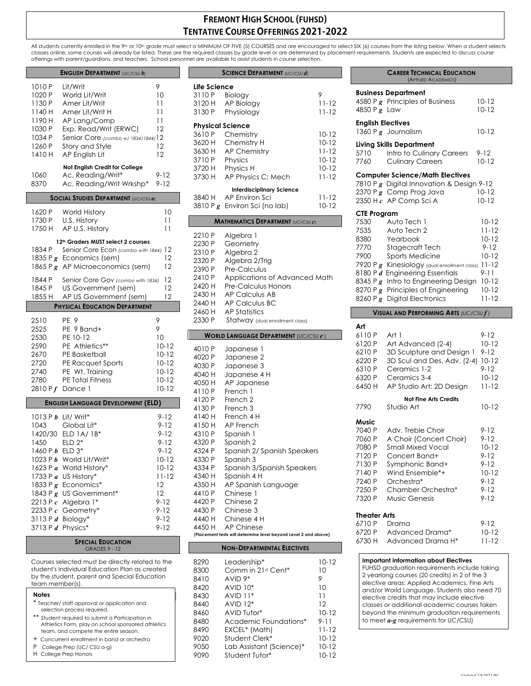# **FREMONT HIGH SCHOOL (FUHSD) TENTATIVE COURSE OFFERINGS 2021-2022**

All students currently enrolled in the 9th or 10th grade must select a MINIMUM OF FIVE (5) COURSES and are encouraged to select SIX (6) courses from the listing below. When a student selects<br>classes online, some courses wi offerings with parent/guardians, and teachers. School personnel are available to assist students in course selection.

#### **ENGLISH DEPARTMENT** (UC/CSU *b*)

| 1010 P<br>1020 P<br>1130 P<br>1140 H<br>1190 H<br>1030 P<br>1034 P<br>1260 P<br>1410 H<br>1060                                                                 | Lit/Writ<br>World Lit/Writ<br>Amer Lit/Writ<br>Amer Lit/Writ H<br>AP Lang/Comp<br>Exp. Read/Writ (ERWC)<br>Senior Core (combo w/ 1834/1844) 12<br>Story and Style<br>AP English Lit<br>Not English Credit for College<br>Ac. Reading/Writ* | 9<br>10<br>11<br>11<br>11<br>12<br>12<br>12<br>9-12                                                                                     |
|----------------------------------------------------------------------------------------------------------------------------------------------------------------|--------------------------------------------------------------------------------------------------------------------------------------------------------------------------------------------------------------------------------------------|-----------------------------------------------------------------------------------------------------------------------------------------|
| 8370                                                                                                                                                           | Ac. Reading/Writ Wrkshp*                                                                                                                                                                                                                   | 9-12                                                                                                                                    |
|                                                                                                                                                                | <b>SOCIAL STUDIES DEPARTMENT (UC/CSU a)</b>                                                                                                                                                                                                |                                                                                                                                         |
| 1620 P<br>1730 P<br>1750 H                                                                                                                                     | World History<br>U.S. History<br>AP U.S. History                                                                                                                                                                                           | 10<br>11<br>11                                                                                                                          |
|                                                                                                                                                                | 12 <sup>th</sup> Graders MUST select 2 courses                                                                                                                                                                                             |                                                                                                                                         |
| 1834 P<br>1835 P $g$                                                                                                                                           | Senior Core Econ (combo with 1844)<br>Economics (sem)<br>1865 P $g$ AP Microeconomics (sem)                                                                                                                                                | 12<br>12<br>12                                                                                                                          |
| 1844 P<br>1845 P<br>1855 H                                                                                                                                     | Senior Core Gov (combo with 1834)<br>US Government (sem)<br>AP US Government (sem)                                                                                                                                                         | 12<br>12<br>12                                                                                                                          |
|                                                                                                                                                                | <b>PHYSICAL EDUCATION DEPARTMENT</b>                                                                                                                                                                                                       |                                                                                                                                         |
|                                                                                                                                                                |                                                                                                                                                                                                                                            |                                                                                                                                         |
| 2510<br>2525<br>2530<br>2590<br>2670<br>2720<br>2740<br>2780<br>2810 P $f$                                                                                     | PE <sub>9</sub><br>PE 9 Band+<br>PE 10-12<br>PE Athletics**<br>PE Basketball<br>PE Racquet Sports<br>PE Wt. Training<br><b>PE Total Fitness</b><br>Dance 1                                                                                 | 9<br>9<br>10<br>$10 - 12$<br>$10 - 12$<br>$10 - 12$<br>$10 - 12$<br>$10 - 12$<br>10-12                                                  |
|                                                                                                                                                                | <b>ENGLISH LANGUAGE DEVELOPMENT (ELD)</b>                                                                                                                                                                                                  |                                                                                                                                         |
| 1043<br>1420/30<br>1450<br>1460 P b ELD 3*<br>1023 P $b$<br>1623 P a<br>1733 P a<br>1833 P $g$<br>1843 P g<br>2213 P $c$<br>2233 P $c$<br>3113 P d<br>3713 P d | 1013 P b Lit/ Writ*<br>Global Lit*<br>ELD $1A/1B^*$<br>$ELD 2*$<br>World Lit/Writ*<br>World History*<br>US History*<br>Economics*<br>US Government*<br>Algebra 1*<br>Geometry*<br>Biology*<br>Physics*                                     | 9-12<br>$9 - 12$<br>$9 - 12$<br>$9 - 12$<br>$9 - 12$<br>$10 - 12$<br>$10 - 12$<br>11-12<br>12<br>12<br>$9 - 12$<br>9-12<br>9-12<br>9-12 |

#### **SPECIAL EDUCATION** GRADES 9 - 12

Courses selected must be directly related to the student's Individual Education Plan as created by the student, parent and Special Education team member(s).

- \* Teacher/ staff approval or application and selection process required. Student required to submit a Participation in Athletics Form, play on school sponsored athletics team, and compete the entire season.
- + Concurrent enrollment in band or orchestra
- P College Prep (UC/ CSU a-g)
- H College Prep Honors

# **SCIENCE DEPARTMENT** (UC/CSU *d*) **Life Science** 3110 P Biology 9 3120 H AP Biology 11-12 3130 P Physiology 11-12 **Physical Science** 3610 P Chemistry 10-12 3620 H Chemistry H 10-12 3630 H AP Chemistry 11-12 3710 P Physics 10-12 3720 H Physics H 10-12 3730 H AP Physics C: Mech 11-12 **Interdisciplinary Science**  $3840$  H AP Environ Sci 11-12<br> $3810$  P g Environ Sci (no lab) 10-12 3810 P g Environ Sci (no lab) **MATHEMATICS DEPARTMENT** (UC/CSU *c*) 2210 P Algebra 1 2230 P Geometry<br>2310 P Alaebra 2 Algebra 2 2320 P Algebra 2/Trig

2390 P Pre-Calculus 2410 P Applications of Advanced Math 2420 H Pre-Calculus Honors 2430 H AP Calculus AB 2440 H AP Calculus BC 2460 H AP Statistics 2330 P Statway (dual enrollment class)

# **WORLD LANGUAGE DEPARTMENT** (UC/CSU *e* )

| 4010 P | Japanese 1                                                      |
|--------|-----------------------------------------------------------------|
| 4020 P | Japanese 2                                                      |
|        |                                                                 |
| 4030 P | Japanese 3                                                      |
| 4040 H | Japanese 4 H                                                    |
| 4050 H | AP Japanese                                                     |
| 4110 P | French 1                                                        |
| 4120 P | French <sub>2</sub>                                             |
| 4130 P | French 3                                                        |
| 4140 H | French 4 H                                                      |
| 4150 H | AP French                                                       |
| 4310 P | Spanish 1                                                       |
| 4320 P | Spanish 2                                                       |
| 4324 P | Spanish 2/ Spanish Speakers                                     |
| 4330 P | Spanish 3                                                       |
| 4334 P | Spanish 3/Spanish Speakers                                      |
| 4340 H | Spanish 4 H                                                     |
| 4350 H | AP Spanish Language                                             |
| 4410 P | Chinese 1                                                       |
| 4420 P | Chinese 2                                                       |
| 4430 P | Chinese 3                                                       |
|        | 4440 H Chinese 4 H                                              |
|        | 4450 H AP Chinese                                               |
|        | (Placement tests will determine level beyond Level 2 and above) |

## **NON-DEPARTMENTAL ELECTIVES**

| 8290 | Leadership*              | $10 - 12$ |
|------|--------------------------|-----------|
| 8300 | Comm in 21st Cent*       | 10        |
| 8410 | $AVID 9*$                | 9         |
| 8420 | $AVID 10*$               | 10        |
| 8430 | $AVID 11*$               | 11        |
| 8440 | $AVID 12*$               | 12        |
| 8460 | AVID Tutor*              | $10 - 12$ |
| 8480 | Academic Foundations*    | $9 - 11$  |
| 8490 | EXCEL* (Math)            | $11 - 12$ |
| 9020 | Student Clerk*           | $10 - 12$ |
| 9050 | Lab Assistant (Science)* | $10 - 12$ |
| 9090 | Student Tutor*           | $10-12$   |

|                          | <b>Business Department</b>                   |                        |
|--------------------------|----------------------------------------------|------------------------|
| 4850 P $g$ Law           | 4580 P $g$ Principles of Business            | $10 - 12$<br>$10 - 12$ |
| <b>English Electives</b> |                                              |                        |
|                          | 1360 P $g$ Journalism                        | $10 - 12$              |
|                          | <b>Living Skills Department</b>              |                        |
| 5710                     | Intro to Culinary Careers                    | $9 - 12$               |
| 7760                     | <b>Culinary Careers</b>                      | $10 - 12$              |
|                          | <b>Computer Science/Math Electives</b>       |                        |
|                          | 7810 P g Digital Innovation & Design 9-12    |                        |
|                          | 2370 P g Comp Prog Java                      | $10 - 12$              |
|                          | $2350$ H $c$ AP Comp Sci A                   | $10 - 12$              |
| <b>CTE Program</b>       |                                              |                        |
| 7530                     | Auto Tech 1                                  | $10 - 12$              |
| 7535                     | Auto Tech 2                                  | $11 - 12$              |
| 8380                     | Yearbook                                     | $10 - 12$              |
| 7770                     | Stagecraft Tech                              | $9 - 12$               |
| 7900                     | <b>Sports Medicine</b>                       | $10 - 12$              |
|                          | 7920 P g Kinesiology (dual enrollment class) | $11 - 12$              |
|                          | 8180 P d Engineering Essentials              | 9-11                   |
|                          | 8345 P $g$ Intro to Engineering Design       | $10 - 12$              |
|                          | 8270 P g Principles of Engineering           | $10 - 12$              |
| 8260 P $g$               | <b>Digital Electronics</b>                   | $11 - 12$              |

**CAREER TECHNICAL EDUCATION** (APPLIED ACADEMICS)

## **VISUAL AND PERFORMING ARTS** *(UC/CSU f )*

| Art                      |                              |               |
|--------------------------|------------------------------|---------------|
| 6110P                    | Art 1                        | $9 - 12$      |
| 6120 P                   | Art Advanced (2-4)           | $10 - 12$     |
| 6210 P                   | 3D Sculpture and Design 1    | 9-12          |
| 6220 P                   | 3D Scul and Des. Adv. (2-4)  | $10 - 12$     |
| 6310 P                   | Ceramics 1-2                 | 9-12          |
| 6320 P                   | Ceramics 3-4                 | $10 - 12$     |
| 6450 H                   | AP Studio Art: 2D Design     | $11 - 12$     |
|                          | <b>Not Fine Arts Credits</b> |               |
| 7790                     | Studio Art                   | $10 - 12$     |
| Music                    |                              |               |
| 7040 P                   | Adv. Treble Choir            | $9 - 12$      |
| 7060 P                   | A Choir (Concert Choir)      | $9 - 12$      |
| 7080 P                   | Small Mixed Vocal            | $10 - 12$     |
| 7120 P                   | Concert Band+                | $9 - 12$      |
| 7130 P                   | Symphonic Band+              | $9 - 12$      |
| 7140 P                   | Wind Ensemble*+              | $10 - 12$     |
| 7240 P                   | Orchestra*                   | $9 - 12$      |
| 7250 P                   | Chamber Orchestra*           | $9 - 12$      |
| 7320 P                   | Music Genesis                | $9 - 12$      |
| Theater Arts             |                              |               |
| $\cdot$ - $\cdot$ $\sim$ |                              | $\sim$ $\sim$ |

|        | 6710 P Drama             | $9 - 12$  |
|--------|--------------------------|-----------|
| 6720 P | Advanced Drama*          | $10 - 12$ |
|        | 6730 H Advanced Drama H* | $11-12$   |
|        |                          |           |

#### **Important information about Electives**

FUHSD graduation requirements include taking 2 yearlong courses (20 credits) in 2 of the 3 elective areas: Applied Academics, Fine Arts and/or World Language. Students also need 70 elective credits that may include elective classes or additional academic courses taken beyond the minimum graduation requirements to meet *a-g* requirements for UC/CSU)